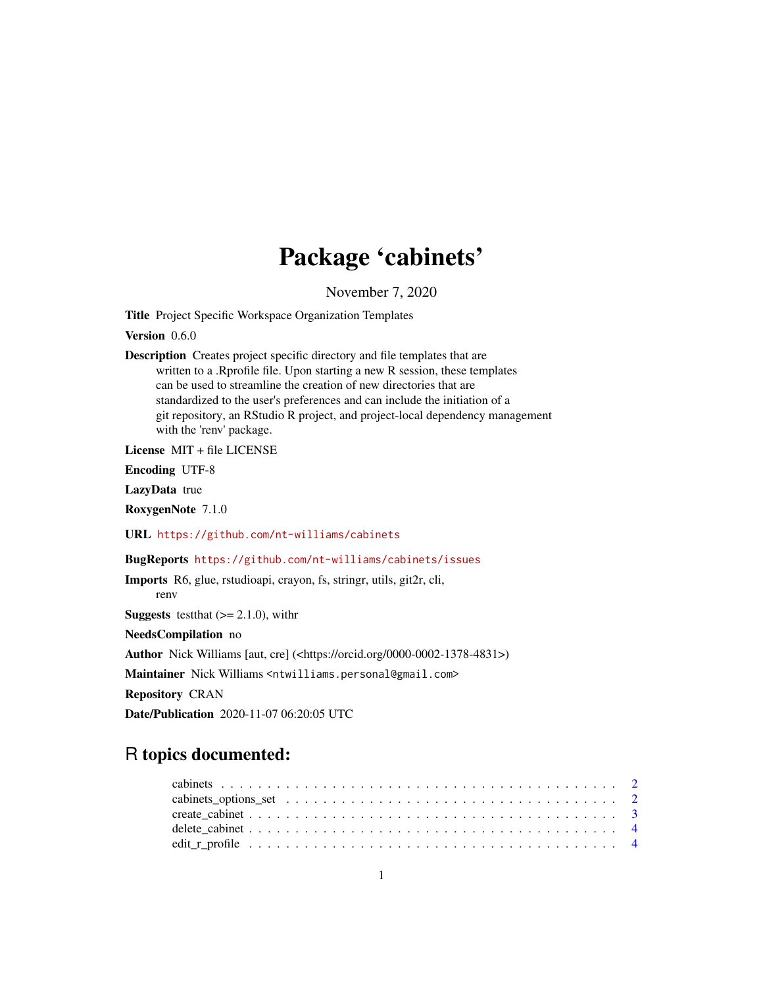## Package 'cabinets'

November 7, 2020

<span id="page-0-0"></span>Title Project Specific Workspace Organization Templates

Version 0.6.0

Description Creates project specific directory and file templates that are written to a .Rprofile file. Upon starting a new R session, these templates can be used to streamline the creation of new directories that are standardized to the user's preferences and can include the initiation of a git repository, an RStudio R project, and project-local dependency management with the 'renv' package.

License MIT + file LICENSE

Encoding UTF-8

LazyData true

RoxygenNote 7.1.0

URL <https://github.com/nt-williams/cabinets>

BugReports <https://github.com/nt-williams/cabinets/issues>

Imports R6, glue, rstudioapi, crayon, fs, stringr, utils, git2r, cli, renv

**Suggests** test that  $(>= 2.1.0)$ , with r

NeedsCompilation no

Author Nick Williams [aut, cre] (<https://orcid.org/0000-0002-1378-4831>)

Maintainer Nick Williams <ntwilliams.personal@gmail.com>

Repository CRAN

Date/Publication 2020-11-07 06:20:05 UTC

### R topics documented: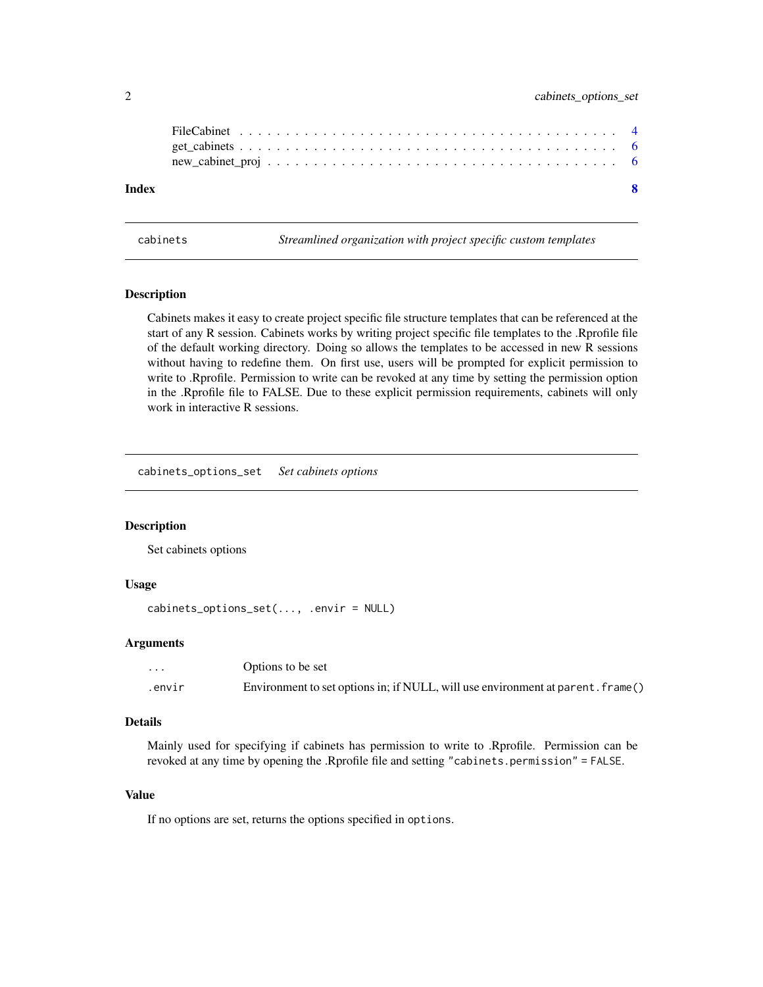<span id="page-1-0"></span>

cabinets *Streamlined organization with project specific custom templates*

#### Description

Cabinets makes it easy to create project specific file structure templates that can be referenced at the start of any R session. Cabinets works by writing project specific file templates to the .Rprofile file of the default working directory. Doing so allows the templates to be accessed in new R sessions without having to redefine them. On first use, users will be prompted for explicit permission to write to .Rprofile. Permission to write can be revoked at any time by setting the permission option in the .Rprofile file to FALSE. Due to these explicit permission requirements, cabinets will only work in interactive R sessions.

cabinets\_options\_set *Set cabinets options*

#### Description

Set cabinets options

#### Usage

```
cabinets_options_set(..., .envir = NULL)
```
#### Arguments

| $\cdots$ | Options to be set                                                               |
|----------|---------------------------------------------------------------------------------|
| .envir   | Environment to set options in; if NULL, will use environment at parent. frame() |

#### Details

Mainly used for specifying if cabinets has permission to write to .Rprofile. Permission can be revoked at any time by opening the .Rprofile file and setting "cabinets.permission" = FALSE.

#### Value

If no options are set, returns the options specified in options.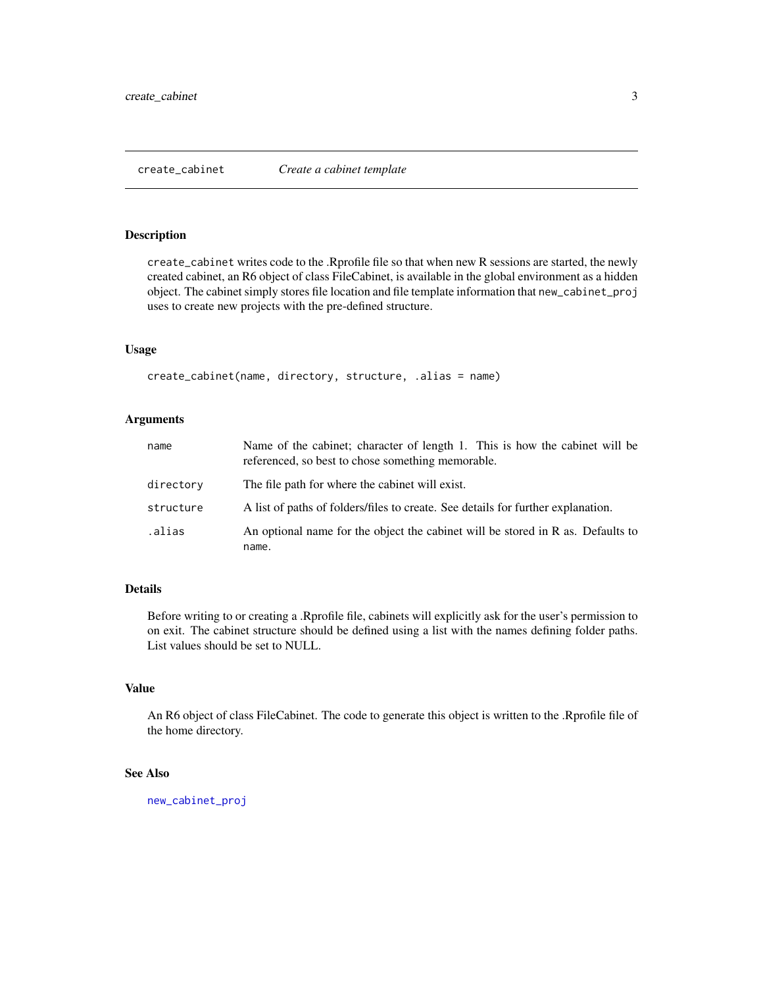<span id="page-2-1"></span><span id="page-2-0"></span>

#### Description

create\_cabinet writes code to the .Rprofile file so that when new R sessions are started, the newly created cabinet, an R6 object of class FileCabinet, is available in the global environment as a hidden object. The cabinet simply stores file location and file template information that new\_cabinet\_proj uses to create new projects with the pre-defined structure.

#### Usage

```
create_cabinet(name, directory, structure, .alias = name)
```
#### Arguments

| name      | Name of the cabinet; character of length 1. This is how the cabinet will be<br>referenced, so best to chose something memorable. |
|-----------|----------------------------------------------------------------------------------------------------------------------------------|
| directory | The file path for where the cabinet will exist.                                                                                  |
| structure | A list of paths of folders/files to create. See details for further explanation.                                                 |
| .alias    | An optional name for the object the cabinet will be stored in R as. Defaults to<br>name.                                         |

#### Details

Before writing to or creating a .Rprofile file, cabinets will explicitly ask for the user's permission to on exit. The cabinet structure should be defined using a list with the names defining folder paths. List values should be set to NULL.

#### Value

An R6 object of class FileCabinet. The code to generate this object is written to the .Rprofile file of the home directory.

#### See Also

[new\\_cabinet\\_proj](#page-5-1)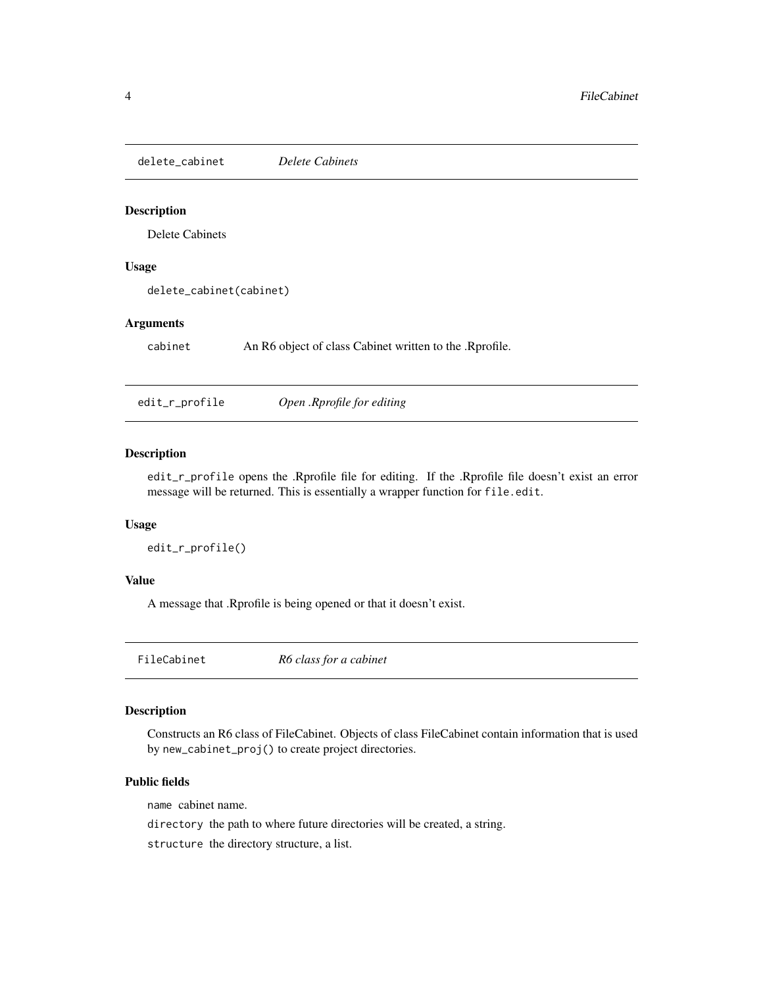<span id="page-3-0"></span>delete\_cabinet *Delete Cabinets*

#### Description

Delete Cabinets

#### Usage

delete\_cabinet(cabinet)

#### Arguments

cabinet An R6 object of class Cabinet written to the .Rprofile.

edit\_r\_profile *Open .Rprofile for editing*

#### Description

edit\_r\_profile opens the .Rprofile file for editing. If the .Rprofile file doesn't exist an error message will be returned. This is essentially a wrapper function for file.edit.

#### Usage

edit\_r\_profile()

#### Value

A message that .Rprofile is being opened or that it doesn't exist.

FileCabinet *R6 class for a cabinet*

#### Description

Constructs an R6 class of FileCabinet. Objects of class FileCabinet contain information that is used by new\_cabinet\_proj() to create project directories.

#### Public fields

name cabinet name.

directory the path to where future directories will be created, a string.

structure the directory structure, a list.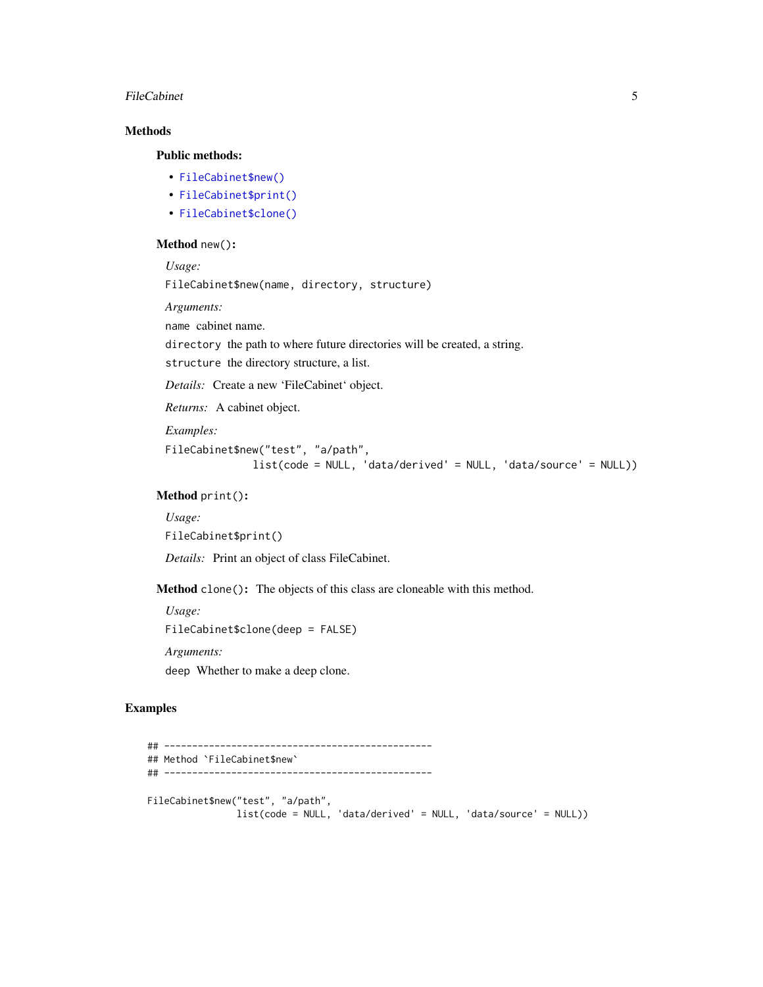#### FileCabinet 5

#### Methods

#### Public methods:

- [FileCabinet\\$new\(\)](#page-4-0)
- [FileCabinet\\$print\(\)](#page-4-1)
- [FileCabinet\\$clone\(\)](#page-4-2)

#### <span id="page-4-0"></span>Method new():

*Usage:*

FileCabinet\$new(name, directory, structure)

*Arguments:*

name cabinet name.

directory the path to where future directories will be created, a string.

structure the directory structure, a list.

*Details:* Create a new 'FileCabinet' object.

*Returns:* A cabinet object.

*Examples:*

```
FileCabinet$new("test", "a/path",
              list(code = NULL, 'data/derived' = NULL, 'data/source' = NULL))
```
<span id="page-4-1"></span>Method print():

*Usage:* FileCabinet\$print()

*Details:* Print an object of class FileCabinet.

<span id="page-4-2"></span>Method clone(): The objects of this class are cloneable with this method.

*Usage:* FileCabinet\$clone(deep = FALSE) *Arguments:*

deep Whether to make a deep clone.

#### Examples

```
## ------------------------------------------------
## Method `FileCabinet$new`
## ------------------------------------------------
FileCabinet$new("test", "a/path",
               list(code = NULL, 'data/derived' = NULL, 'data/source' = NULL))
```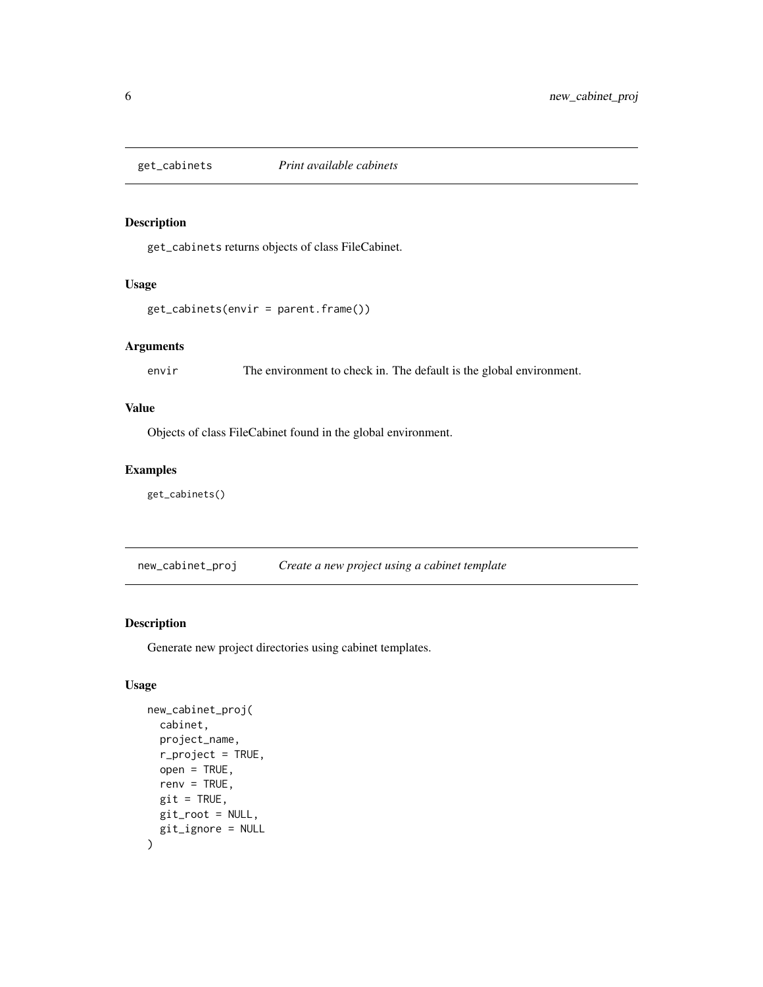<span id="page-5-0"></span>

#### Description

get\_cabinets returns objects of class FileCabinet.

#### Usage

```
get_cabinets(envir = parent.frame())
```
#### Arguments

envir The environment to check in. The default is the global environment.

#### Value

Objects of class FileCabinet found in the global environment.

#### Examples

get\_cabinets()

<span id="page-5-1"></span>new\_cabinet\_proj *Create a new project using a cabinet template*

#### Description

Generate new project directories using cabinet templates.

#### Usage

```
new_cabinet_proj(
  cabinet,
 project_name,
  r_project = TRUE,
  open = TRUE,renv = TRUE,git = TRUE,git_root = NULL,
  git_ignore = NULL
\mathcal{E}
```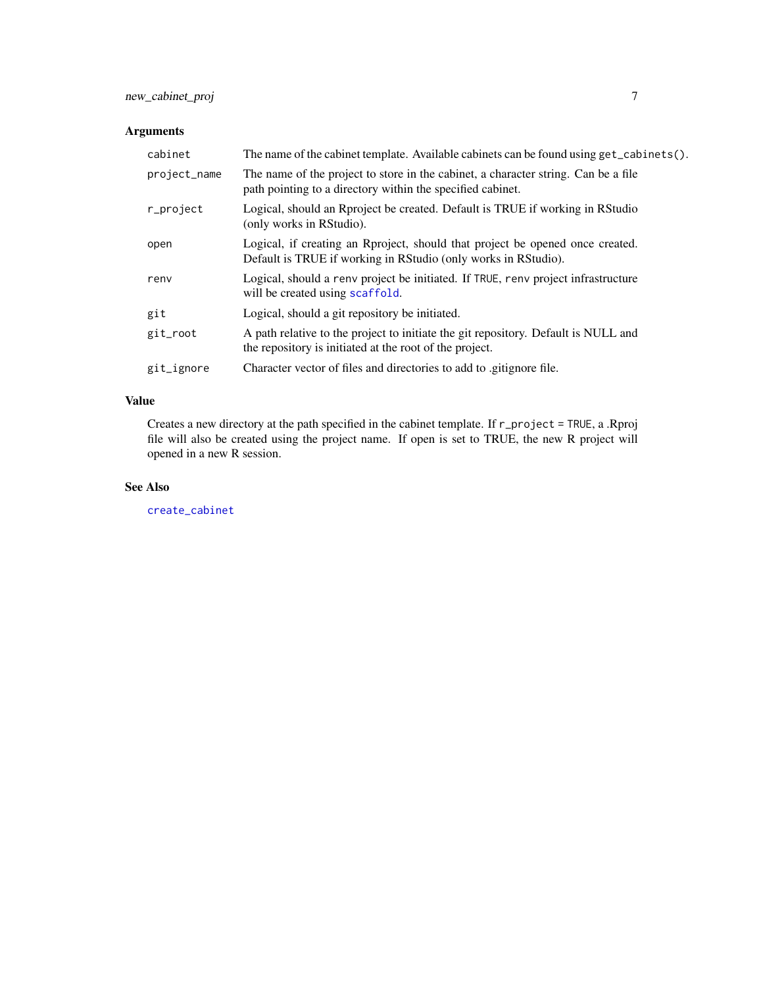#### <span id="page-6-0"></span>Arguments

| cabinet      | The name of the cabinet template. Available cabinets can be found using get_cabinets().                                                          |
|--------------|--------------------------------------------------------------------------------------------------------------------------------------------------|
| project_name | The name of the project to store in the cabinet, a character string. Can be a file<br>path pointing to a directory within the specified cabinet. |
| r_project    | Logical, should an Rproject be created. Default is TRUE if working in RStudio<br>(only works in RStudio).                                        |
| open         | Logical, if creating an Rproject, should that project be opened once created.<br>Default is TRUE if working in RStudio (only works in RStudio).  |
| renv         | Logical, should a reny project be initiated. If TRUE, reny project infrastructure<br>will be created using scaffold.                             |
| git          | Logical, should a git repository be initiated.                                                                                                   |
| git_root     | A path relative to the project to initiate the git repository. Default is NULL and<br>the repository is initiated at the root of the project.    |
| git_ignore   | Character vector of files and directories to add to gitignore file.                                                                              |

#### Value

Creates a new directory at the path specified in the cabinet template. If r\_project = TRUE, a .Rproj file will also be created using the project name. If open is set to TRUE, the new R project will opened in a new R session.

#### See Also

[create\\_cabinet](#page-2-1)